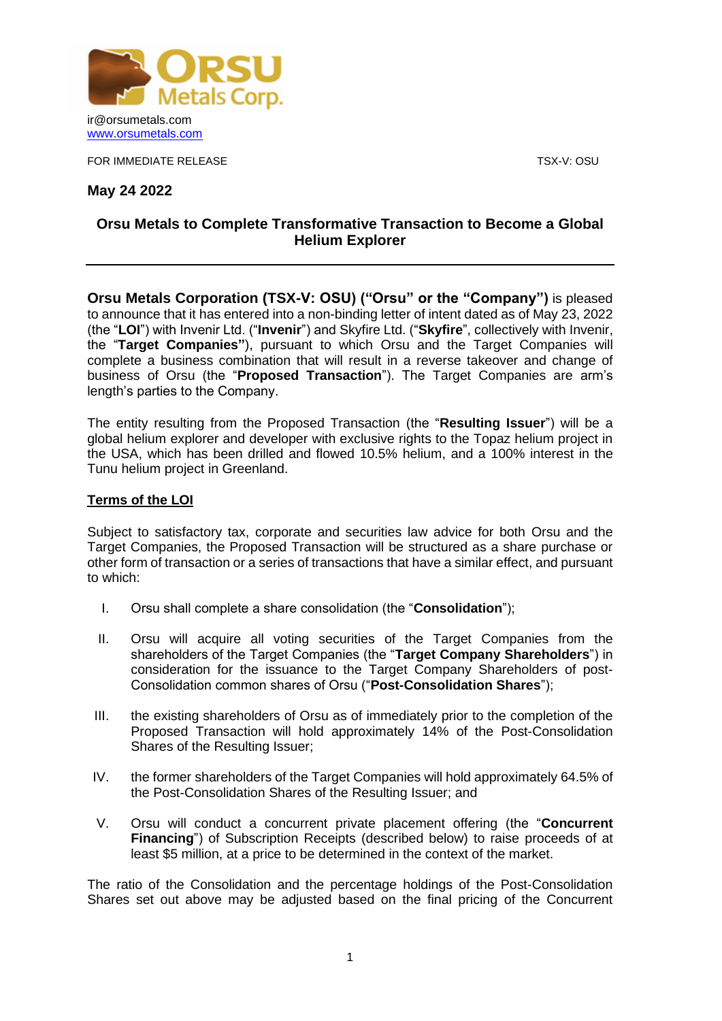

FOR IMMEDIATE RELEASE THE STATE OF THE SERIES AND TO A SERIES TO SERIES TO A SERIES TO A SERIES TO A SERIES TO

**May 24 2022**

## **Orsu Metals to Complete Transformative Transaction to Become a Global Helium Explorer**

**Orsu Metals Corporation (TSX-V: OSU) ("Orsu" or the "Company")** is pleased to announce that it has entered into a non-binding letter of intent dated as of May 23, 2022 (the "**LOI**") with Invenir Ltd. ("**Invenir**") and Skyfire Ltd. ("**Skyfire**", collectively with Invenir, the "**Target Companies"**), pursuant to which Orsu and the Target Companies will complete a business combination that will result in a reverse takeover and change of business of Orsu (the "**Proposed Transaction**"). The Target Companies are arm's length's parties to the Company.

The entity resulting from the Proposed Transaction (the "**Resulting Issuer**") will be a global helium explorer and developer with exclusive rights to the Topaz helium project in the USA, which has been drilled and flowed 10.5% helium, and a 100% interest in the Tunu helium project in Greenland.

### **Terms of the LOI**

Subject to satisfactory tax, corporate and securities law advice for both Orsu and the Target Companies, the Proposed Transaction will be structured as a share purchase or other form of transaction or a series of transactions that have a similar effect, and pursuant to which:

- I. Orsu shall complete a share consolidation (the "**Consolidation**");
- II. Orsu will acquire all voting securities of the Target Companies from the shareholders of the Target Companies (the "**Target Company Shareholders**") in consideration for the issuance to the Target Company Shareholders of post-Consolidation common shares of Orsu ("**Post-Consolidation Shares**");
- III. the existing shareholders of Orsu as of immediately prior to the completion of the Proposed Transaction will hold approximately 14% of the Post-Consolidation Shares of the Resulting Issuer;
- IV. the former shareholders of the Target Companies will hold approximately 64.5% of the Post-Consolidation Shares of the Resulting Issuer; and
- V. Orsu will conduct a concurrent private placement offering (the "**Concurrent Financing**") of Subscription Receipts (described below) to raise proceeds of at least \$5 million, at a price to be determined in the context of the market.

The ratio of the Consolidation and the percentage holdings of the Post-Consolidation Shares set out above may be adjusted based on the final pricing of the Concurrent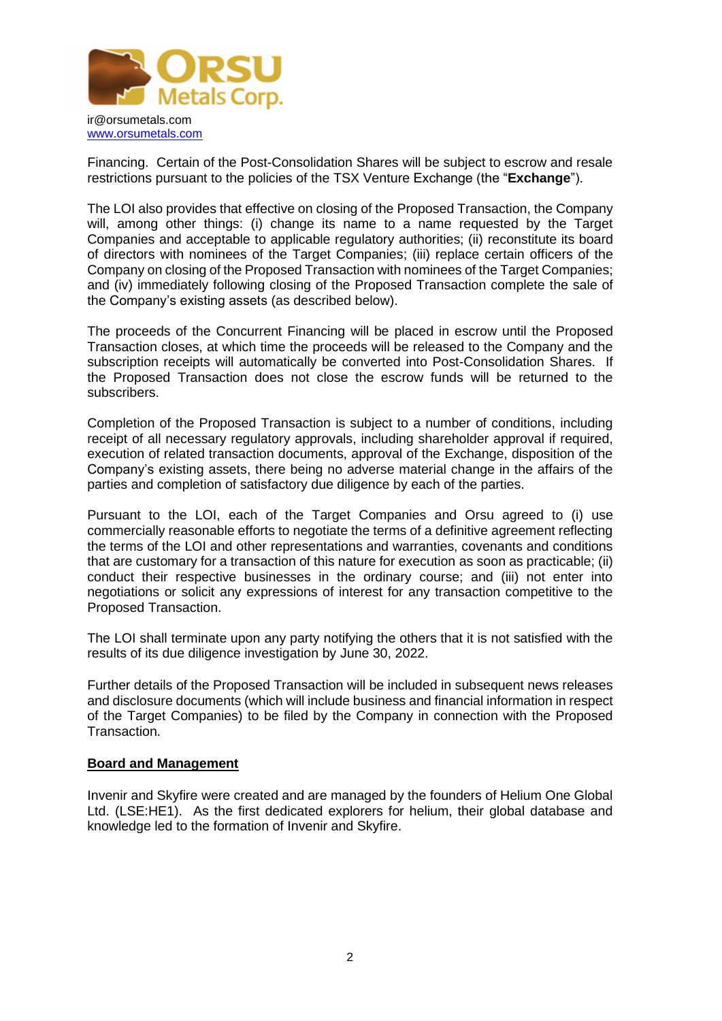

Financing. Certain of the Post-Consolidation Shares will be subject to escrow and resale restrictions pursuant to the policies of the TSX Venture Exchange (the "**Exchange**").

The LOI also provides that effective on closing of the Proposed Transaction, the Company will, among other things: (i) change its name to a name requested by the Target Companies and acceptable to applicable regulatory authorities; (ii) reconstitute its board of directors with nominees of the Target Companies; (iii) replace certain officers of the Company on closing of the Proposed Transaction with nominees of the Target Companies; and (iv) immediately following closing of the Proposed Transaction complete the sale of the Company's existing assets (as described below).

The proceeds of the Concurrent Financing will be placed in escrow until the Proposed Transaction closes, at which time the proceeds will be released to the Company and the subscription receipts will automatically be converted into Post-Consolidation Shares. If the Proposed Transaction does not close the escrow funds will be returned to the subscribers.

Completion of the Proposed Transaction is subject to a number of conditions, including receipt of all necessary regulatory approvals, including shareholder approval if required, execution of related transaction documents, approval of the Exchange, disposition of the Company's existing assets, there being no adverse material change in the affairs of the parties and completion of satisfactory due diligence by each of the parties.

Pursuant to the LOI, each of the Target Companies and Orsu agreed to (i) use commercially reasonable efforts to negotiate the terms of a definitive agreement reflecting the terms of the LOI and other representations and warranties, covenants and conditions that are customary for a transaction of this nature for execution as soon as practicable; (ii) conduct their respective businesses in the ordinary course; and (iii) not enter into negotiations or solicit any expressions of interest for any transaction competitive to the Proposed Transaction.

The LOI shall terminate upon any party notifying the others that it is not satisfied with the results of its due diligence investigation by June 30, 2022.

Further details of the Proposed Transaction will be included in subsequent news releases and disclosure documents (which will include business and financial information in respect of the Target Companies) to be filed by the Company in connection with the Proposed Transaction.

#### **Board and Management**

Invenir and Skyfire were created and are managed by the founders of Helium One Global Ltd. (LSE:HE1). As the first dedicated explorers for helium, their global database and knowledge led to the formation of Invenir and Skyfire.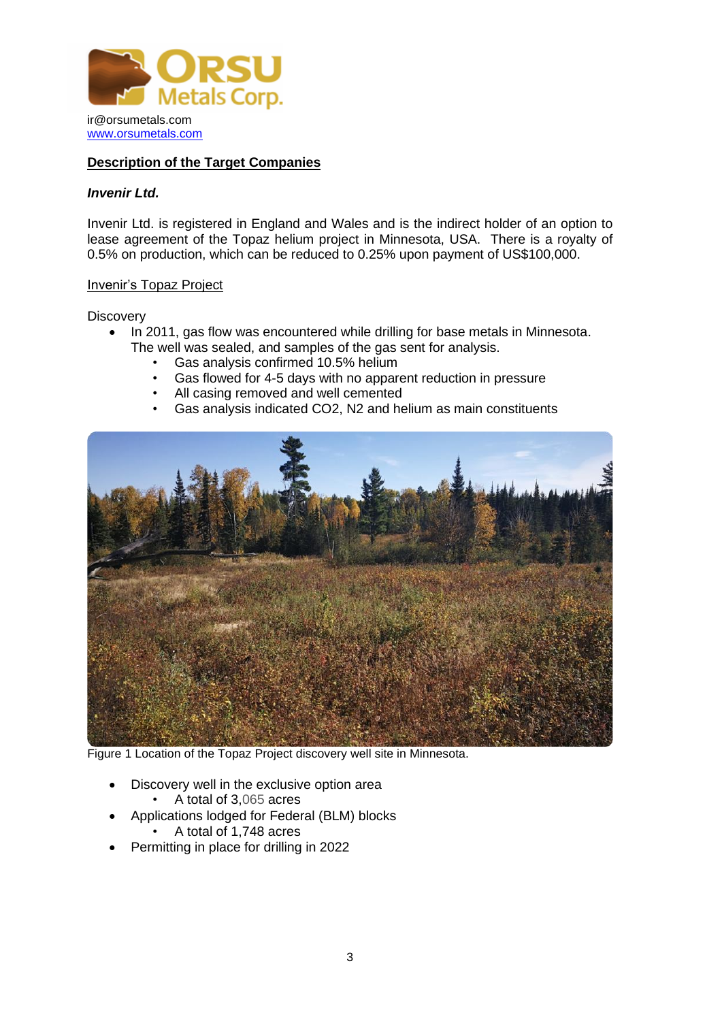

### **Description of the Target Companies**

#### *Invenir Ltd.*

Invenir Ltd. is registered in England and Wales and is the indirect holder of an option to lease agreement of the Topaz helium project in Minnesota, USA. There is a royalty of 0.5% on production, which can be reduced to 0.25% upon payment of US\$100,000.

#### Invenir's Topaz Project

**Discovery** 

- In 2011, gas flow was encountered while drilling for base metals in Minnesota. The well was sealed, and samples of the gas sent for analysis.
	- Gas analysis confirmed 10.5% helium
	- Gas flowed for 4-5 days with no apparent reduction in pressure
	- All casing removed and well cemented
	- Gas analysis indicated CO2, N2 and helium as main constituents



Figure 1 Location of the Topaz Project discovery well site in Minnesota.

- Discovery well in the exclusive option area
	- A total of 3,065 acres
- Applications lodged for Federal (BLM) blocks
	- A total of 1,748 acres
- Permitting in place for drilling in 2022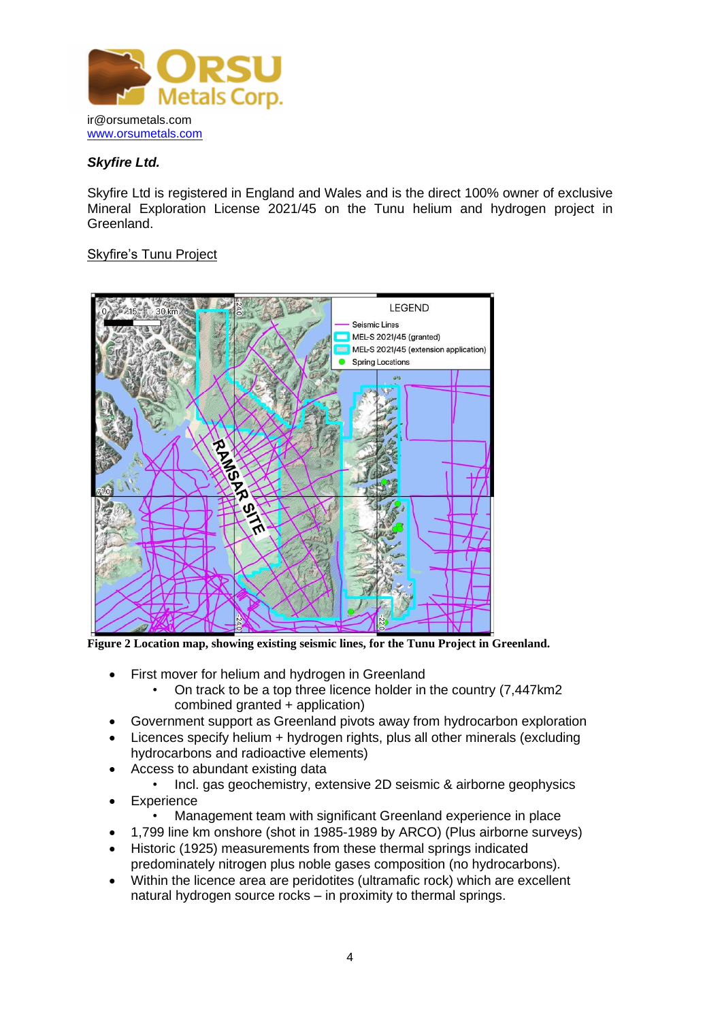

## *Skyfire Ltd.*

Skyfire Ltd is registered in England and Wales and is the direct 100% owner of exclusive Mineral Exploration License 2021/45 on the Tunu helium and hydrogen project in Greenland.

## Skyfire's Tunu Project



**Figure 2 Location map, showing existing seismic lines, for the Tunu Project in Greenland.**

- First mover for helium and hydrogen in Greenland
	- On track to be a top three licence holder in the country (7,447km2 combined granted + application)
- Government support as Greenland pivots away from hydrocarbon exploration
- Licences specify helium + hydrogen rights, plus all other minerals (excluding hydrocarbons and radioactive elements)
- Access to abundant existing data
	- Incl. gas geochemistry, extensive 2D seismic & airborne geophysics
- Experience
	- Management team with significant Greenland experience in place
- 1,799 line km onshore (shot in 1985-1989 by ARCO) (Plus airborne surveys)
- Historic (1925) measurements from these thermal springs indicated predominately nitrogen plus noble gases composition (no hydrocarbons)*.*
- Within the licence area are peridotites (ultramafic rock) which are excellent natural hydrogen source rocks – in proximity to thermal springs.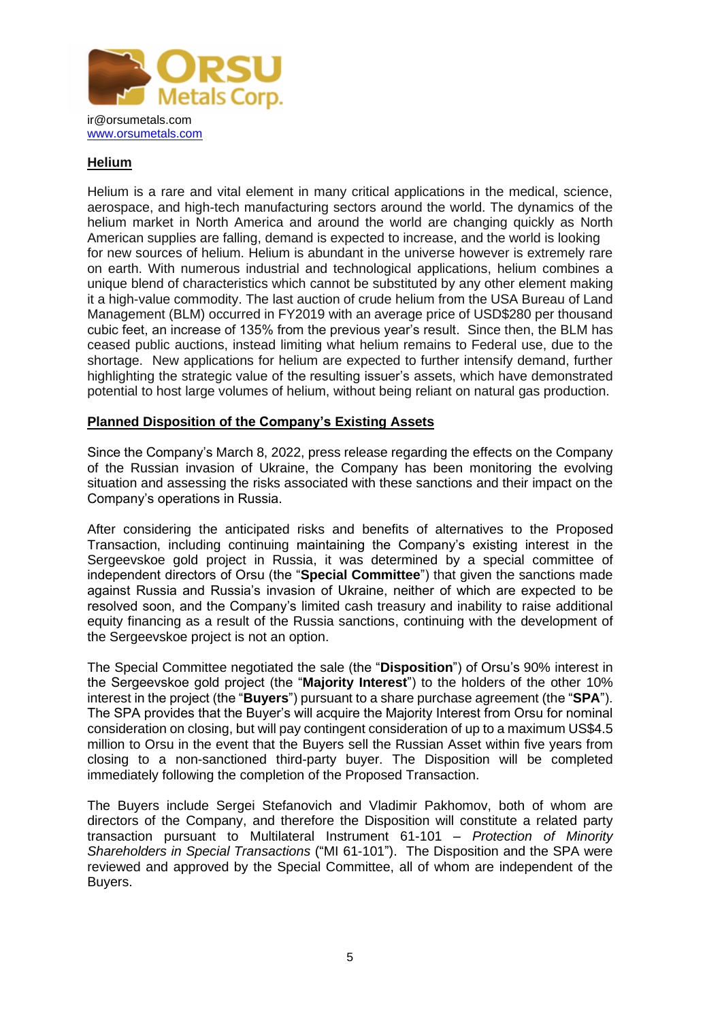

## **Helium**

Helium is a rare and vital element in many critical applications in the medical, science, aerospace, and high-tech manufacturing sectors around the world. The dynamics of the helium market in North America and around the world are changing quickly as North American supplies are falling, demand is expected to increase, and the world is looking for new sources of helium. Helium is abundant in the universe however is extremely rare on earth. With numerous industrial and technological applications, helium combines a unique blend of characteristics which cannot be substituted by any other element making it a high-value commodity. The last auction of crude helium from the USA Bureau of Land Management (BLM) occurred in FY2019 with an average price of USD\$280 per thousand cubic feet, an increase of 135% from the previous year's result. Since then, the BLM has ceased public auctions, instead limiting what helium remains to Federal use, due to the shortage. New applications for helium are expected to further intensify demand, further highlighting the strategic value of the resulting issuer's assets, which have demonstrated potential to host large volumes of helium, without being reliant on natural gas production.

### **Planned Disposition of the Company's Existing Assets**

Since the Company's March 8, 2022, press release regarding the effects on the Company of the Russian invasion of Ukraine, the Company has been monitoring the evolving situation and assessing the risks associated with these sanctions and their impact on the Company's operations in Russia.

After considering the anticipated risks and benefits of alternatives to the Proposed Transaction, including continuing maintaining the Company's existing interest in the Sergeevskoe gold project in Russia, it was determined by a special committee of independent directors of Orsu (the "**Special Committee**") that given the sanctions made against Russia and Russia's invasion of Ukraine, neither of which are expected to be resolved soon, and the Company's limited cash treasury and inability to raise additional equity financing as a result of the Russia sanctions, continuing with the development of the Sergeevskoe project is not an option.

The Special Committee negotiated the sale (the "**Disposition**") of Orsu's 90% interest in the Sergeevskoe gold project (the "**Majority Interest**") to the holders of the other 10% interest in the project (the "**Buyers**") pursuant to a share purchase agreement (the "**SPA**"). The SPA provides that the Buyer's will acquire the Majority Interest from Orsu for nominal consideration on closing, but will pay contingent consideration of up to a maximum US\$4.5 million to Orsu in the event that the Buyers sell the Russian Asset within five years from closing to a non-sanctioned third-party buyer. The Disposition will be completed immediately following the completion of the Proposed Transaction.

The Buyers include Sergei Stefanovich and Vladimir Pakhomov, both of whom are directors of the Company, and therefore the Disposition will constitute a related party transaction pursuant to Multilateral Instrument 61-101 – *Protection of Minority Shareholders in Special Transactions* ("MI 61-101"). The Disposition and the SPA were reviewed and approved by the Special Committee, all of whom are independent of the Buyers.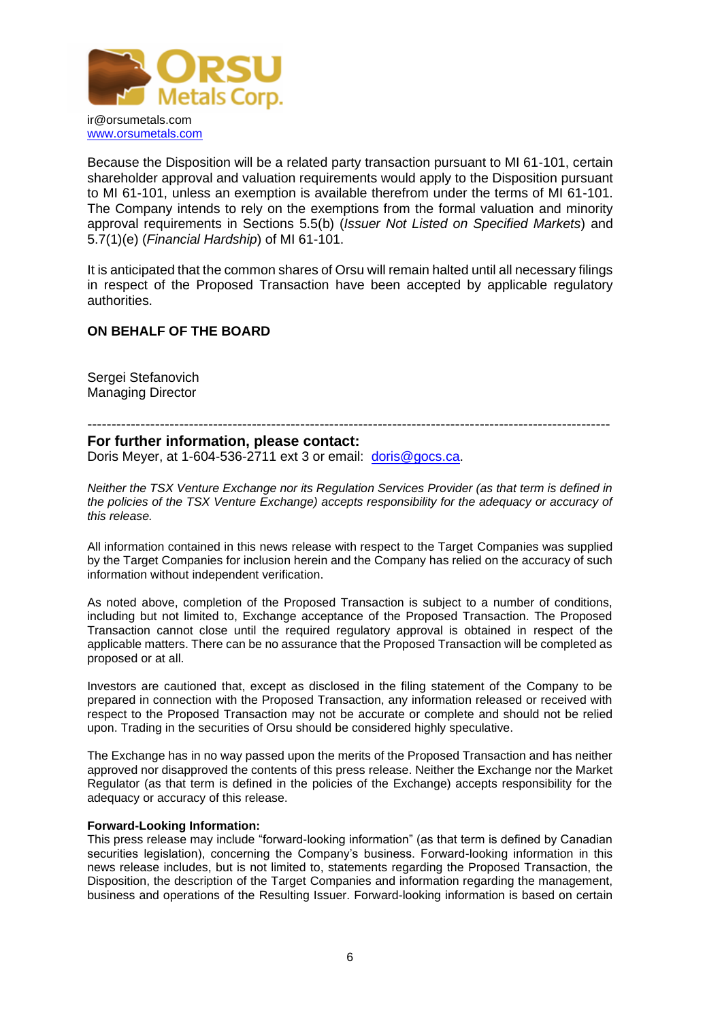

Because the Disposition will be a related party transaction pursuant to MI 61-101, certain shareholder approval and valuation requirements would apply to the Disposition pursuant to MI 61-101, unless an exemption is available therefrom under the terms of MI 61-101. The Company intends to rely on the exemptions from the formal valuation and minority approval requirements in Sections 5.5(b) (*Issuer Not Listed on Specified Markets*) and 5.7(1)(e) (*Financial Hardship*) of MI 61-101.

It is anticipated that the common shares of Orsu will remain halted until all necessary filings in respect of the Proposed Transaction have been accepted by applicable regulatory authorities.

### **ON BEHALF OF THE BOARD**

Sergei Stefanovich Managing Director

# ------------------------------------------------------------------------------------------------------------

#### **For further information, please contact:**

Doris Meyer, at 1-604-536-2711 ext 3 or email: [doris@gocs.ca.](mailto:doris@gocs.ca)

*Neither the TSX Venture Exchange nor its Regulation Services Provider (as that term is defined in the policies of the TSX Venture Exchange) accepts responsibility for the adequacy or accuracy of this release.*

All information contained in this news release with respect to the Target Companies was supplied by the Target Companies for inclusion herein and the Company has relied on the accuracy of such information without independent verification.

As noted above, completion of the Proposed Transaction is subject to a number of conditions, including but not limited to, Exchange acceptance of the Proposed Transaction. The Proposed Transaction cannot close until the required regulatory approval is obtained in respect of the applicable matters. There can be no assurance that the Proposed Transaction will be completed as proposed or at all.

Investors are cautioned that, except as disclosed in the filing statement of the Company to be prepared in connection with the Proposed Transaction, any information released or received with respect to the Proposed Transaction may not be accurate or complete and should not be relied upon. Trading in the securities of Orsu should be considered highly speculative.

The Exchange has in no way passed upon the merits of the Proposed Transaction and has neither approved nor disapproved the contents of this press release. Neither the Exchange nor the Market Regulator (as that term is defined in the policies of the Exchange) accepts responsibility for the adequacy or accuracy of this release.

#### **Forward-Looking Information:**

This press release may include "forward-looking information" (as that term is defined by Canadian securities legislation), concerning the Company's business. Forward-looking information in this news release includes, but is not limited to, statements regarding the Proposed Transaction, the Disposition, the description of the Target Companies and information regarding the management, business and operations of the Resulting Issuer. Forward-looking information is based on certain